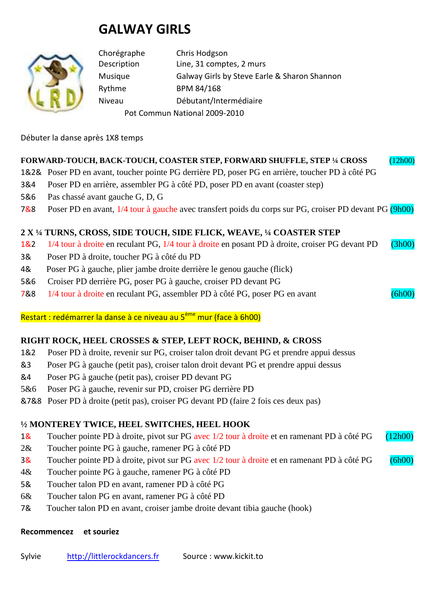# **GALWAY GIRLS**



Chorégraphe Chris Hodgson Description Line, 31 comptes, 2 murs Musique Galway Girls by Steve Earle & Sharon Shannon Rythme BPM 84/168 Niveau Débutant/Intermédiaire Pot Commun National 2009-2010

Débuter la danse après 1X8 temps

## **FORWARD-TOUCH, BACK-TOUCH, COASTER STEP, FORWARD SHUFFLE, STEP ¼ CROSS** (12h00)

- 1&2& Poser PD en avant, toucher pointe PG derrière PD, poser PG en arrière, toucher PD à côté PG
- 3&4 Poser PD en arrière, assembler PG à côté PD, poser PD en avant (coaster step)
- 5&6 Pas chassé avant gauche G, D, G
- 7&8 Poser PD en avant, 1/4 tour à gauche avec transfert poids du corps sur PG, croiser PD devant PG (9h00)

## **2 X ¼ TURNS, CROSS, SIDE TOUCH, SIDE FLICK, WEAVE, ¼ COASTER STEP**

- 1&2 1/4 tour à droite en reculant PG, 1/4 tour à droite en posant PD à droite, croiser PG devant PD (3h00)
- 3& Poser PD à droite, toucher PG à côté du PD
- 4& Poser PG à gauche, plier jambe droite derrière le genou gauche (flick)
- 5&6 Croiser PD derrière PG, poser PG à gauche, croiser PD devant PG
- 7&8 1/4 tour à droite en reculant PG, assembler PD à côté PG, poser PG en avant (6h00)

Restart : redémarrer la danse à ce niveau au 5<sup>ème</sup> mur (face à 6h00)

#### **RIGHT ROCK, HEEL CROSSES & STEP, LEFT ROCK, BEHIND, & CROSS**

- 1&2 Poser PD à droite, revenir sur PG, croiser talon droit devant PG et prendre appui dessus
- &3 Poser PG à gauche (petit pas), croiser talon droit devant PG et prendre appui dessus
- &4 Poser PG à gauche (petit pas), croiser PD devant PG
- 5&6 Poser PG à gauche, revenir sur PD, croiser PG derrière PD
- &7&8 Poser PD à droite (petit pas), croiser PG devant PD (faire 2 fois ces deux pas)

# **½ MONTEREY TWICE, HEEL SWITCHES, HEEL HOOK**

- 1& Toucher pointe PD à droite, pivot sur PG avec 1/2 tour à droite et en ramenant PD à côté PG (12h00)
- 2& Toucher pointe PG à gauche, ramener PG à côté PD
- 3& Toucher pointe PD à droite, pivot sur PG avec 1/2 tour à droite et en ramenant PD à côté PG (6h00)
- 4& Toucher pointe PG à gauche, ramener PG à côté PD
- 5& Toucher talon PD en avant, ramener PD à côté PG
- 6& Toucher talon PG en avant, ramener PG à côté PD
- 7& Toucher talon PD en avant, croiser jambe droite devant tibia gauche (hook)

#### **Recommencez et souriez**

Sylvie http://littlerockdancers.fr Source : www.kickit.to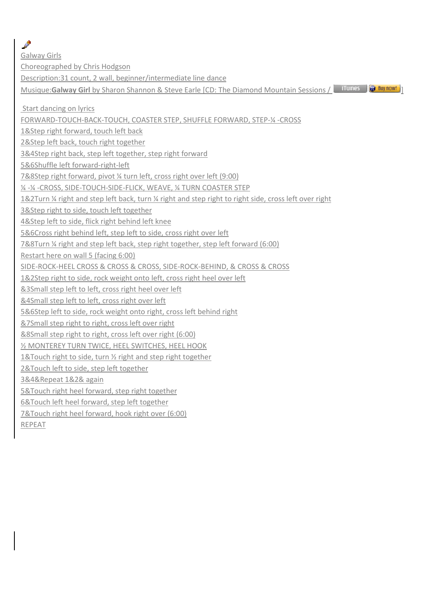ℐ Galway Girls Choreographed by Chris Hodgson Description:31 count, 2 wall, beginner/intermediate line dance Musique: Galway Girl by Sharon Shannon & Steve Earle [CD: The Diamond Mountain Sessions / **19 Tiunes** (a) Buy now! Start dancing on lyrics FORWARD-TOUCH-BACK-TOUCH, COASTER STEP, SHUFFLE FORWARD, STEP-¼ -CROSS 1&Step right forward, touch left back 2&Step left back, touch right together 3&4Step right back, step left together, step right forward 5&6Shuffle left forward-right-left 7&8Step right forward, pivot ¼ turn left, cross right over left (9:00) ¼ -¼ -CROSS, SIDE-TOUCH-SIDE-FLICK, WEAVE, ¼ TURN COASTER STEP 1&2Turn ¼ right and step left back, turn ¼ right and step right to right side, cross left over right 3&Step right to side, touch left together 4&Step left to side, flick right behind left knee 5&6Cross right behind left, step left to side, cross right over left 7&8Turn ¼ right and step left back, step right together, step left forward (6:00) Restart here on wall 5 (facing 6:00) SIDE-ROCK-HEEL CROSS & CROSS & CROSS, SIDE-ROCK-BEHIND, & CROSS & CROSS 1&2Step right to side, rock weight onto left, cross right heel over left &3Small step left to left, cross right heel over left &4Small step left to left, cross right over left 5&6Step left to side, rock weight onto right, cross left behind right &7Small step right to right, cross left over right &8Small step right to right, cross left over right (6:00) ½ MONTEREY TURN TWICE, HEEL SWITCHES, HEEL HOOK 1&Touch right to side, turn ½ right and step right together 2&Touch left to side, step left together 3&4&Repeat 1&2& again 5&Touch right heel forward, step right together 6&Touch left heel forward, step left together 7&Touch right heel forward, hook right over (6:00) REPEAT